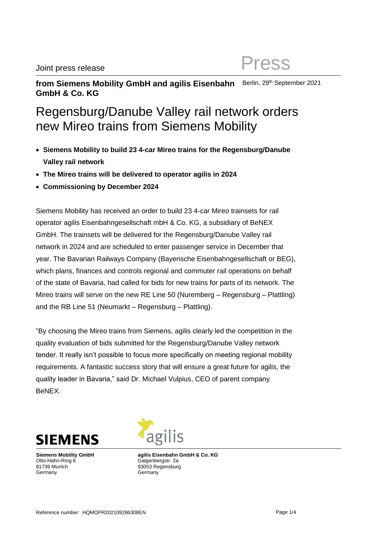#### **from Siemens Mobility GmbH and agilis Eisenbahn GmbH & Co. KG** Berlin, 29<sup>th</sup> September 2021

# Regensburg/Danube Valley rail network orders new Mireo trains from Siemens Mobility

- **Siemens Mobility to build 23 4-car Mireo trains for the Regensburg/Danube Valley rail network**
- **The Mireo trains will be delivered to operator agilis in 2024**
- **Commissioning by December 2024**

Siemens Mobility has received an order to build 23 4-car Mireo trainsets for rail operator agilis Eisenbahngesellschaft mbH & Co. KG, a subsidiary of BeNEX GmbH. The trainsets will be delivered for the Regensburg/Danube Valley rail network in 2024 and are scheduled to enter passenger service in December that year. The Bavarian Railways Company (Bayerische Eisenbahngesellschaft or BEG), which plans, finances and controls regional and commuter rail operations on behalf of the state of Bavaria, had called for bids for new trains for parts of its network. The Mireo trains will serve on the new RE Line 50 (Nuremberg – Regensburg – Plattling) and the RB Line 51 (Neumarkt – Regensburg – Plattling).

"By choosing the Mireo trains from Siemens, agilis clearly led the competition in the quality evaluation of bids submitted for the Regensburg/Danube Valley network tender. It really isn't possible to focus more specifically on meeting regional mobility requirements. A fantastic success story that will ensure a great future for agilis, the quality leader in Bavaria," said Dr. Michael Vulpius, CEO of parent company BeNEX.



**Siemens Mobility GmbH** Otto-Hahn-Ring 6 81739 Munich **Germany** 

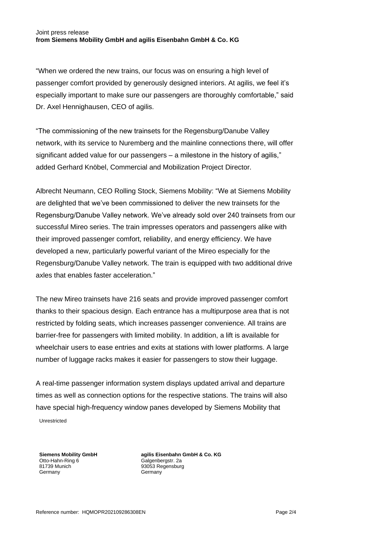#### Joint press release **from Siemens Mobility GmbH and agilis Eisenbahn GmbH & Co. KG**

"When we ordered the new trains, our focus was on ensuring a high level of passenger comfort provided by generously designed interiors. At agilis, we feel it's especially important to make sure our passengers are thoroughly comfortable," said Dr. Axel Hennighausen, CEO of agilis.

"The commissioning of the new trainsets for the Regensburg/Danube Valley network, with its service to Nuremberg and the mainline connections there, will offer significant added value for our passengers – a milestone in the history of agilis," added Gerhard Knöbel, Commercial and Mobilization Project Director.

Albrecht Neumann, CEO Rolling Stock, Siemens Mobility: "We at Siemens Mobility are delighted that we've been commissioned to deliver the new trainsets for the Regensburg/Danube Valley network. We've already sold over 240 trainsets from our successful Mireo series. The train impresses operators and passengers alike with their improved passenger comfort, reliability, and energy efficiency. We have developed a new, particularly powerful variant of the Mireo especially for the Regensburg/Danube Valley network. The train is equipped with two additional drive axles that enables faster acceleration."

The new Mireo trainsets have 216 seats and provide improved passenger comfort thanks to their spacious design. Each entrance has a multipurpose area that is not restricted by folding seats, which increases passenger convenience. All trains are barrier-free for passengers with limited mobility. In addition, a lift is available for wheelchair users to ease entries and exits at stations with lower platforms. A large number of luggage racks makes it easier for passengers to stow their luggage.

Unrestricted A real-time passenger information system displays updated arrival and departure times as well as connection options for the respective stations. The trains will also have special high-frequency window panes developed by Siemens Mobility that

**Siemens Mobility GmbH** Otto-Hahn-Ring 6 81739 Munich Germany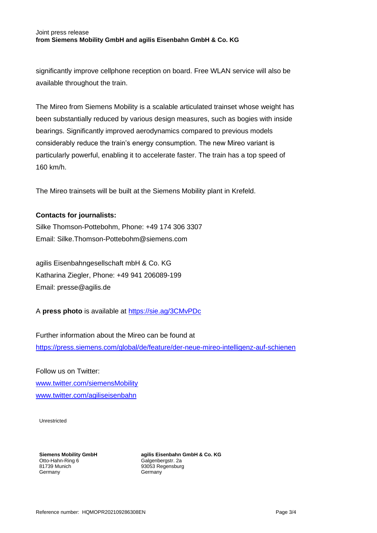### Joint press release **from Siemens Mobility GmbH and agilis Eisenbahn GmbH & Co. KG**

significantly improve cellphone reception on board. Free WLAN service will also be available throughout the train.

The Mireo from Siemens Mobility is a scalable articulated trainset whose weight has been substantially reduced by various design measures, such as bogies with inside bearings. Significantly improved aerodynamics compared to previous models considerably reduce the train's energy consumption. The new Mireo variant is particularly powerful, enabling it to accelerate faster. The train has a top speed of 160 km/h.

The Mireo trainsets will be built at the Siemens Mobility plant in Krefeld.

## **Contacts for journalists:**

Silke Thomson-Pottebohm, Phone: +49 174 306 3307 Email: Silke.Thomson-Pottebohm@siemens.com

agilis Eisenbahngesellschaft mbH & Co. KG Katharina Ziegler, Phone: +49 941 206089-199 Email: presse@agilis.de

A **press photo** is available at <https://sie.ag/3CMvPDc>

Further information about the Mireo can be found at <https://press.siemens.com/global/de/feature/der-neue-mireo-intelligenz-auf-schienen>

Follow us on Twitter: [www.twitter.com/siemensMobility](http://www.twitter.com/siemensMobility) [www.twitter.com/agiliseisenbahn](http://www.twitter.com/agiliseisenbahn)

Unrestricted

**Siemens Mobility GmbH** Otto-Hahn-Ring 6 81739 Munich Germany